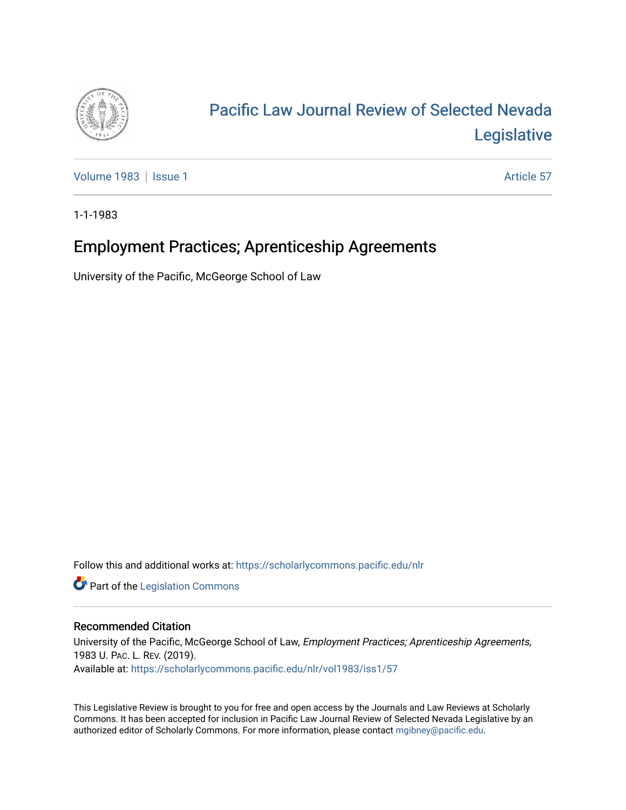

# [Pacific Law Journal Review of Selected Nevada](https://scholarlycommons.pacific.edu/nlr)  [Legislative](https://scholarlycommons.pacific.edu/nlr)

[Volume 1983](https://scholarlycommons.pacific.edu/nlr/vol1983) | [Issue 1](https://scholarlycommons.pacific.edu/nlr/vol1983/iss1) Article 57

1-1-1983

# Employment Practices; Aprenticeship Agreements

University of the Pacific, McGeorge School of Law

Follow this and additional works at: [https://scholarlycommons.pacific.edu/nlr](https://scholarlycommons.pacific.edu/nlr?utm_source=scholarlycommons.pacific.edu%2Fnlr%2Fvol1983%2Fiss1%2F57&utm_medium=PDF&utm_campaign=PDFCoverPages) 

**Part of the [Legislation Commons](http://network.bepress.com/hgg/discipline/859?utm_source=scholarlycommons.pacific.edu%2Fnlr%2Fvol1983%2Fiss1%2F57&utm_medium=PDF&utm_campaign=PDFCoverPages)** 

## Recommended Citation

University of the Pacific, McGeorge School of Law, Employment Practices; Aprenticeship Agreements, 1983 U. PAC. L. REV. (2019). Available at: [https://scholarlycommons.pacific.edu/nlr/vol1983/iss1/57](https://scholarlycommons.pacific.edu/nlr/vol1983/iss1/57?utm_source=scholarlycommons.pacific.edu%2Fnlr%2Fvol1983%2Fiss1%2F57&utm_medium=PDF&utm_campaign=PDFCoverPages)

This Legislative Review is brought to you for free and open access by the Journals and Law Reviews at Scholarly Commons. It has been accepted for inclusion in Pacific Law Journal Review of Selected Nevada Legislative by an authorized editor of Scholarly Commons. For more information, please contact [mgibney@pacific.edu](mailto:mgibney@pacific.edu).